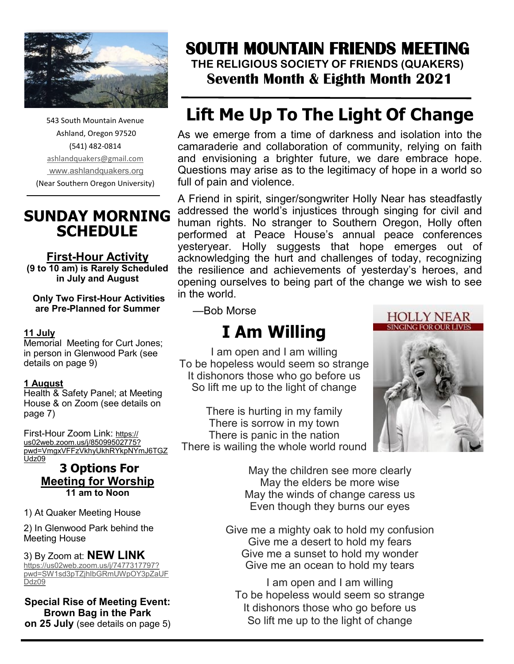

543 South Mountain Avenue Ashland, Oregon 97520 (541) 482-0814 [ashlandquakers@gmail.com](mailto:ashlandquakers@gmail.com) [www.ashlandquakers.org](http://www.ashlandquakers.org) (Near Southern Oregon University)

### **SUNDAY MORNING SCHEDULE**

**First-Hour Activity (9 to 10 am) is Rarely Scheduled in July and August**

**Only Two First-Hour Activities are Pre-Planned for Summer**

#### **11 July**

Memorial Meeting for Curt Jones; in person in Glenwood Park (see details on page 9)

#### **1 August**

Health & Safety Panel; at Meeting House & on Zoom (see details on page 7)

First-Hour Zoom Link: [https://](https://us02web.zoom.us/j/85099502775?pwd=VmgxVFFzVkhyUkhRYkpNYmJ6TGZUdz09) [us02web.zoom.us/j/85099502775?](https://us02web.zoom.us/j/85099502775?pwd=VmgxVFFzVkhyUkhRYkpNYmJ6TGZUdz09) [pwd=VmgxVFFzVkhyUkhRYkpNYmJ6TGZ](https://us02web.zoom.us/j/85099502775?pwd=VmgxVFFzVkhyUkhRYkpNYmJ6TGZUdz09) [Udz09](https://us02web.zoom.us/j/85099502775?pwd=VmgxVFFzVkhyUkhRYkpNYmJ6TGZUdz09)

**3 Options For Meeting for Worship 11 am to Noon** 

1) At Quaker Meeting House

2) In Glenwood Park behind the Meeting House

3) By Zoom at: **NEW LINK** [https://us02web.zoom.us/j/7477317797?](https://us02web.zoom.us/j/7477317797?pwd=SW1sd3pTZjhIbGRmUWpOY3pZaUFDdz09) [pwd=SW1sd3pTZjhIbGRmUWpOY3pZaUF](https://us02web.zoom.us/j/7477317797?pwd=SW1sd3pTZjhIbGRmUWpOY3pZaUFDdz09) [Ddz09](https://us02web.zoom.us/j/7477317797?pwd=SW1sd3pTZjhIbGRmUWpOY3pZaUFDdz09)

**Special Rise of Meeting Event: Brown Bag in the Park on 25 July** (see details on page 5)

## **SOUTH MOUNTAIN FRIENDS MEETING**

**THE RELIGIOUS SOCIETY OF FRIENDS (QUAKERS) Seventh Month & Eighth Month 2021** 

# **Lift Me Up To The Light Of Change**

As we emerge from a time of darkness and isolation into the camaraderie and collaboration of community, relying on faith and envisioning a brighter future, we dare embrace hope. Questions may arise as to the legitimacy of hope in a world so full of pain and violence.

A Friend in spirit, singer/songwriter Holly Near has steadfastly addressed the world's injustices through singing for civil and human rights. No stranger to Southern Oregon, Holly often performed at Peace House's annual peace conferences yesteryear. Holly suggests that hope emerges out of acknowledging the hurt and challenges of today, recognizing the resilience and achievements of yesterday's heroes, and opening ourselves to being part of the change we wish to see in the world.

—Bob Morse

# **I Am Willing**

I am open and I am willing To be hopeless would seem so strange It dishonors those who go before us So lift me up to the light of change

There is hurting in my family There is sorrow in my town There is panic in the nation There is wailing the whole world round

> May the children see more clearly May the elders be more wise May the winds of change caress us Even though they burns our eyes

Give me a mighty oak to hold my confusion Give me a desert to hold my fears Give me a sunset to hold my wonder Give me an ocean to hold my tears

I am open and I am willing To be hopeless would seem so strange It dishonors those who go before us So lift me up to the light of change

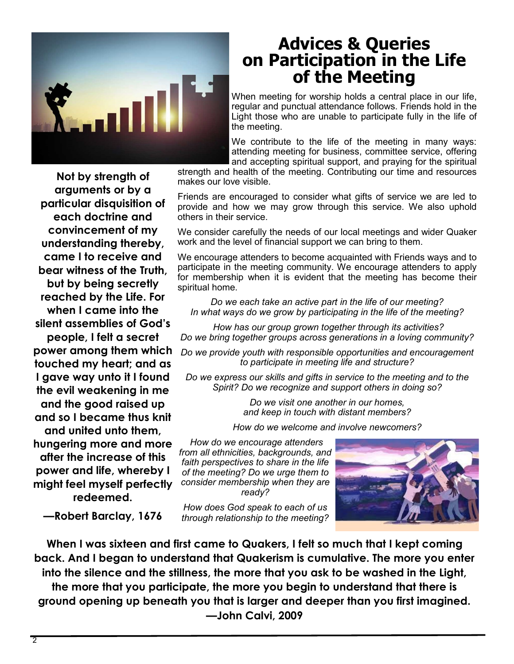

## **Advices & Queries on Participation in the Life of the Meeting**

When meeting for worship holds a central place in our life, regular and punctual attendance follows. Friends hold in the Light those who are unable to participate fully in the life of the meeting.

We contribute to the life of the meeting in many ways: attending meeting for business, committee service, offering and accepting spiritual support, and praying for the spiritual

strength and health of the meeting. Contributing our time and resources makes our love visible.

Friends are encouraged to consider what gifts of service we are led to provide and how we may grow through this service. We also uphold others in their service.

We consider carefully the needs of our local meetings and wider Quaker work and the level of financial support we can bring to them.

We encourage attenders to become acquainted with Friends ways and to participate in the meeting community. We encourage attenders to apply for membership when it is evident that the meeting has become their spiritual home.

*Do we each take an active part in the life of our meeting? In what ways do we grow by participating in the life of the meeting?* 

*How has our group grown together through its activities? Do we bring together groups across generations in a loving community?* 

*Do we provide youth with responsible opportunities and encouragement to participate in meeting life and structure?* 

*Do we express our skills and gifts in service to the meeting and to the Spirit? Do we recognize and support others in doing so?* 

> *Do we visit one another in our homes, and keep in touch with distant members?*

*How do we welcome and involve newcomers?*

*How do we encourage attenders from all ethnicities, backgrounds, and faith perspectives to share in the life of the meeting? Do we urge them to consider membership when they are ready?*

*How does God speak to each of us through relationship to the meeting?*



**—Robert Barclay, 1676**

**redeemed.** 

**When I was sixteen and first came to Quakers, I felt so much that I kept coming back. And I began to understand that Quakerism is cumulative. The more you enter into the silence and the stillness, the more that you ask to be washed in the Light, the more that you participate, the more you begin to understand that there is ground opening up beneath you that is larger and deeper than you first imagined. —John Calvi, 2009**

**convincement of my understanding thereby, came I to receive and bear witness of the Truth, but by being secretly reached by the Life. For when I came into the silent assemblies of God's people, I felt a secret power among them which touched my heart; and as I gave way unto it I found the evil weakening in me and the good raised up and so I became thus knit and united unto them, hungering more and more after the increase of this power and life, whereby I might feel myself perfectly** 

**Not by strength of arguments or by a particular disquisition of each doctrine and**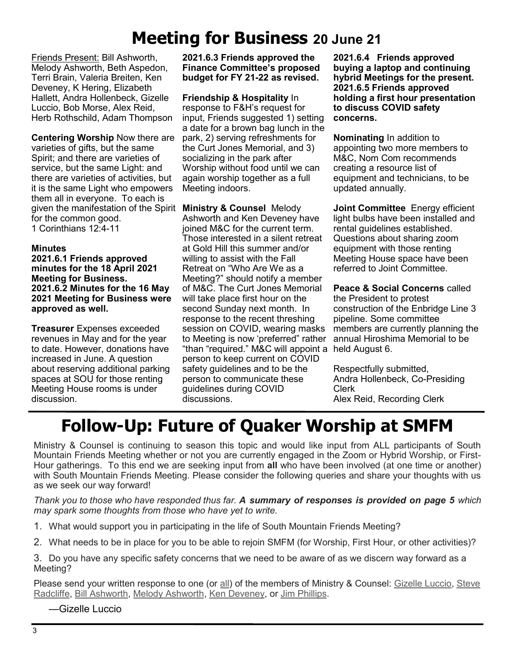# **Meeting for Business 20 June 21**

Friends Present: Bill Ashworth, Melody Ashworth, Beth Aspedon, Terri Brain, Valeria Breiten, Ken Deveney, K Hering, Elizabeth Hallett, Andra Hollenbeck, Gizelle Luccio, Bob Morse, Alex Reid, Herb Rothschild, Adam Thompson

**Centering Worship** Now there are varieties of gifts, but the same Spirit; and there are varieties of service, but the same Light: and there are varieties of activities, but it is the same Light who empowers them all in everyone. To each is given the manifestation of the Spirit **Ministry & Counsel** Melody for the common good. 1 Corinthians 12:4-11

#### **Minutes**

**2021.6.1 Friends approved minutes for the 18 April 2021 Meeting for Business. 2021.6.2 Minutes for the 16 May 2021 Meeting for Business were approved as well.**

**Treasurer** Expenses exceeded revenues in May and for the year to date. However, donations have increased in June. A question about reserving additional parking spaces at SOU for those renting Meeting House rooms is under discussion.

**2021.6.3 Friends approved the Finance Committee's proposed budget for FY 21-22 as revised.**

**Friendship & Hospitality** In response to F&H's request for input, Friends suggested 1) setting a date for a brown bag lunch in the park, 2) serving refreshments for the Curt Jones Memorial, and 3) socializing in the park after Worship without food until we can again worship together as a full Meeting indoors.

Ashworth and Ken Deveney have joined M&C for the current term. Those interested in a silent retreat at Gold Hill this summer and/or willing to assist with the Fall Retreat on "Who Are We as a Meeting?" should notify a member of M&C. The Curt Jones Memorial will take place first hour on the second Sunday next month. In response to the recent threshing session on COVID, wearing masks to Meeting is now 'preferred" rather "than "required." M&C will appoint a held August 6. person to keep current on COVID safety guidelines and to be the person to communicate these guidelines during COVID discussions.

**2021.6.4 Friends approved buying a laptop and continuing hybrid Meetings for the present. 2021.6.5 Friends approved holding a first hour presentation to discuss COVID safety concerns.**

**Nominating** In addition to appointing two more members to M&C, Nom Com recommends creating a resource list of equipment and technicians, to be updated annually.

**Joint Committee** Energy efficient light bulbs have been installed and rental guidelines established. Questions about sharing zoom equipment with those renting Meeting House space have been referred to Joint Committee.

**Peace & Social Concerns** called the President to protest construction of the Enbridge Line 3 pipeline. Some committee members are currently planning the annual Hiroshima Memorial to be

Respectfully submitted, Andra Hollenbeck, Co-Presiding Clerk Alex Reid, Recording Clerk

# **Follow-Up: Future of Quaker Worship at SMFM**

Ministry & Counsel is continuing to season this topic and would like input from ALL participants of South Mountain Friends Meeting whether or not you are currently engaged in the Zoom or Hybrid Worship, or First-Hour gatherings. To this end we are seeking input from **all** who have been involved (at one time or another) with South Mountain Friends Meeting. Please consider the following queries and share your thoughts with us as we seek our way forward!

*Thank you to those who have responded thus far. A summary of responses is provided on page 5 which may spark some thoughts from those who have yet to write.*

- 1. What would support you in participating in the life of South Mountain Friends Meeting?
- 2. What needs to be in place for you to be able to rejoin SMFM (for Worship, First Hour, or other activities)?

3. Do you have any specific safety concerns that we need to be aware of as we discern way forward as a Meeting?

Please send your written response to one (or [all\)](mailto:Gizelle3421@yahoo.com;steveradcliffe@peak.org;ashworth080142@gmail.com;popsiclese@yahoo.com;kenndev@yahoo.com;ashworthmelody@gmail.com) of the members of Ministry & Counsel: [Gizelle Luccio,](mailto:Gizelle3421@yahoo.com) [Steve](mailto:steveradcliffe@peak.org)  [Radcliffe,](mailto:steveradcliffe@peak.org) [Bill Ashworth,](mailto:ashworth080142@gmail.com) [Melody Ashworth,](mailto:ashworthmelody@gmail.com) [Ken Deveney,](mailto:kenndev@yahoo.com) or [Jim Phillips.](mailto:popsiclese@yahoo.com)

—Gizelle Luccio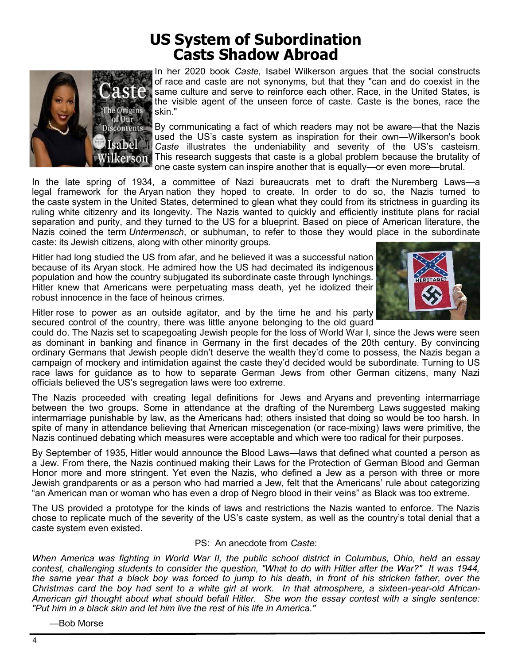### **US System of Subordination Casts Shadow Abroad**



In her 2020 book *Caste,* Isabel Wilkerson argues that the social constructs of race and caste are not synonyms, but that they "can and do coexist in the same culture and serve to reinforce each other. Race, in the United States, is the visible agent of the unseen force of caste. Caste is the bones, race the skin."

By communicating a fact of which readers may not be aware—that the Nazis used the US's caste system as inspiration for their own—Wilkerson's book *Caste* illustrates the undeniability and severity of the US's casteism. This research suggests that caste is a global problem because the brutality of one caste system can inspire another that is equally—or even more—brutal.

In the late spring of 1934, a committee of Nazi bureaucrats met to draft the Nuremberg Laws—a legal framework for the Aryan nation they hoped to create. In order to do so, the Nazis turned to the caste system in the United States, determined to glean what they could from its strictness in guarding its ruling white citizenry and its longevity. The Nazis wanted to quickly and efficiently institute plans for racial separation and purity, and they turned to the US for a blueprint. Based on piece of American literature, the Nazis coined the term *Untermensch*, or subhuman, to refer to those they would place in the subordinate caste: its Jewish citizens, along with other minority groups.

[Hitler](https://www.litcharts.com/lit/caste/characters/adolf-hitler) had long studied the US from afar, and he believed it was a successful nation because of its [Aryan](https://www.litcharts.com/lit/caste/terms/aryan) stock. He admired how the US had decimated its indigenous population and how the country subjugated its subordinate caste through lynchings. Hitler knew that Americans were perpetuating mass death, yet he idolized their robust innocence in the face of heinous crimes.



[Hitler](https://www.litcharts.com/lit/caste/characters/adolf-hitler) rose to power as an outside agitator, and by the time he and his party secured control of the country, there was little anyone belonging to the old guard

could do. The Nazis set to scapegoating Jewish people for the loss of World War I, since the Jews were seen as dominant in banking and finance in Germany in the first decades of the 20th century. By convincing ordinary Germans that Jewish people didn't deserve the wealth they'd come to possess, the Nazis began a campaign of mockery and intimidation against the caste they'd decided would be subordinate. Turning to US race laws for guidance as to how to separate German Jews from other German citizens, many Nazi officials believed the US's segregation laws were too extreme.

The Nazis proceeded with creating legal definitions for Jews and Aryans and preventing intermarriage between the two groups. Some in attendance at the drafting of the Nuremberg Laws suggested making intermarriage punishable by law, as the Americans had; others insisted that doing so would be too harsh. In spite of many in attendance believing that American miscegenation (or race-mixing) laws were primitive, the Nazis continued debating which measures were acceptable and which were too radical for their purposes.

By September of 1935, [Hitler](https://www.litcharts.com/lit/caste/characters/adolf-hitler) would announce the Blood Laws—laws that defined what counted a person as a Jew. From there, the Nazis continued making their Laws for the Protection of German Blood and German Honor more and more stringent. Yet even the Nazis, who defined a Jew as a person with three or more Jewish grandparents or as a person who had married a Jew, felt that the Americans' rule about categorizing "an American man or woman who has even a drop of Negro blood in their veins" as Black was too extreme.

The US provided a prototype for the kinds of laws and restrictions the Nazis wanted to enforce. The Nazis chose to replicate much of the severity of the US's caste system, as well as the country's total denial that a caste system even existed.

#### PS: An anecdote from *Caste*:

*When America was fighting in World War II, the public school district in Columbus, Ohio, held an essay contest, challenging students to consider the question, "What to do with Hitler after the War?" It was 1944, the same year that a black boy was forced to jump to his death, in front of his stricken father, over the Christmas card the boy had sent to a white girl at work. In that atmosphere, a sixteen-year-old African-American girl thought about what should befall Hitler. She won the essay contest with a single sentence: "Put him in a black skin and let him live the rest of his life in America."* 

—Bob Morse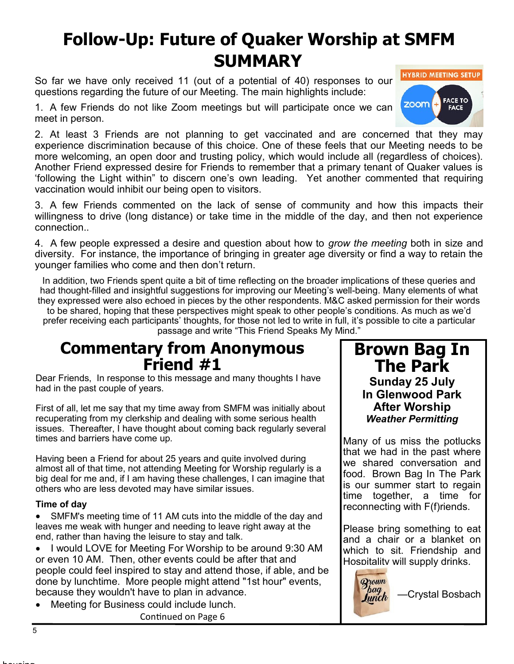# **Follow-Up: Future of Quaker Worship at SMFM SUMMARY**

So far we have only received 11 (out of a potential of 40) responses to our questions regarding the future of our Meeting. The main highlights include:

1. A few Friends do not like Zoom meetings but will participate once we can meet in person.

2. At least 3 Friends are not planning to get vaccinated and are concerned that they may experience discrimination because of this choice. One of these feels that our Meeting needs to be more welcoming, an open door and trusting policy, which would include all (regardless of choices). Another Friend expressed desire for Friends to remember that a primary tenant of Quaker values is 'following the Light within" to discern one's own leading. Yet another commented that requiring vaccination would inhibit our being open to visitors.

3. A few Friends commented on the lack of sense of community and how this impacts their willingness to drive (long distance) or take time in the middle of the day, and then not experience connection..

4. A few people expressed a desire and question about how to *grow the meeting* both in size and diversity. For instance, the importance of bringing in greater age diversity or find a way to retain the younger families who come and then don't return.

In addition, two Friends spent quite a bit of time reflecting on the broader implications of these queries and had thought-filled and insightful suggestions for improving our Meeting's well-being. Many elements of what they expressed were also echoed in pieces by the other respondents. M&C asked permission for their words to be shared, hoping that these perspectives might speak to other people's conditions. As much as we'd

prefer receiving each participants' thoughts, for those not led to write in full, it's possible to cite a particular passage and write "This Friend Speaks My Mind."

## **Commentary from Anonymous Friend #1**

Dear Friends, In response to this message and many thoughts I have had in the past couple of years.

First of all, let me say that my time away from SMFM was initially about recuperating from my clerkship and dealing with some serious health issues. Thereafter, I have thought about coming back regularly several times and barriers have come up.

Having been a Friend for about 25 years and quite involved during almost all of that time, not attending Meeting for Worship regularly is a big deal for me and, if I am having these challenges, I can imagine that others who are less devoted may have similar issues.

#### **Time of day**

SMFM's meeting time of 11 AM cuts into the middle of the day and leaves me weak with hunger and needing to leave right away at the end, rather than having the leisure to stay and talk.

• I would LOVE for Meeting For Worship to be around 9:30 AM or even 10 AM. Then, other events could be after that and people could feel inspired to stay and attend those, if able, and be done by lunchtime. More people might attend "1st hour" events, because they wouldn't have to plan in advance.

• Meeting for Business could include lunch.

Continued on Page 6

### **Brown Bag In The Park Sunday 25 July In Glenwood Park After Worship** *Weather Permitting*

**HYBRID MEETING SETUP** 

zoom

**FACE TO** 

**FACE** 

Many of us miss the potlucks that we had in the past where we shared conversation and food. Brown Bag In The Park is our summer start to regain time together, a time for reconnecting with F(f)riends.

Please bring something to eat and a chair or a blanket on which to sit. Friendship and Hospitality will supply drinks.



—Crystal Bosbach



Janine Devereaux. Ministry & Counsel is helping her find suitable housing.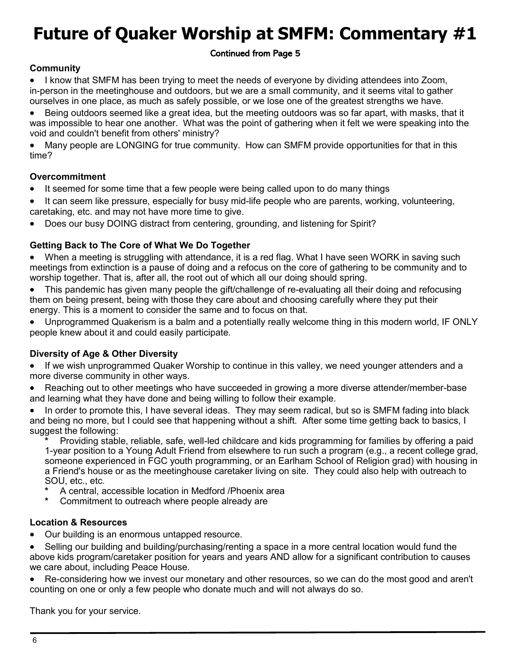# **Future of Quaker Worship at SMFM: Commentary #1**

#### Continued from Page 5

#### **Community**

• I know that SMFM has been trying to meet the needs of everyone by dividing attendees into Zoom, in-person in the meetinghouse and outdoors, but we are a small community, and it seems vital to gather ourselves in one place, as much as safely possible, or we lose one of the greatest strengths we have.

• Being outdoors seemed like a great idea, but the meeting outdoors was so far apart, with masks, that it was impossible to hear one another. What was the point of gathering when it felt we were speaking into the void and couldn't benefit from others' ministry?

• Many people are LONGING for true community. How can SMFM provide opportunities for that in this time?

#### **Overcommitment**

- It seemed for some time that a few people were being called upon to do many things
- It can seem like pressure, especially for busy mid-life people who are parents, working, volunteering, caretaking, etc. and may not have more time to give.
- Does our busy DOING distract from centering, grounding, and listening for Spirit?

#### **Getting Back to The Core of What We Do Together**

• When a meeting is struggling with attendance, it is a red flag. What I have seen WORK in saving such meetings from extinction is a pause of doing and a refocus on the core of gathering to be community and to worship together. That is, after all, the root out of which all our doing should spring.

• This pandemic has given many people the gift/challenge of re-evaluating all their doing and refocusing them on being present, being with those they care about and choosing carefully where they put their energy. This is a moment to consider the same and to focus on that.

• Unprogrammed Quakerism is a balm and a potentially really welcome thing in this modern world, IF ONLY people knew about it and could easily participate.

#### **Diversity of Age & Other Diversity**

• If we wish unprogrammed Quaker Worship to continue in this valley, we need younger attenders and a more diverse community in other ways.

• Reaching out to other meetings who have succeeded in growing a more diverse attender/member-base and learning what they have done and being willing to follow their example.

In order to promote this, I have several ideas. They may seem radical, but so is SMFM fading into black and being no more, but I could see that happening without a shift. After some time getting back to basics, I suggest the following:

**\*** Providing stable, reliable, safe, well-led childcare and kids programming for families by offering a paid 1-year position to a Young Adult Friend from elsewhere to run such a program (e.g., a recent college grad, someone experienced in FGC youth programming, or an Earlham School of Religion grad) with housing in a Friend's house or as the meetinghouse caretaker living on site. They could also help with outreach to SOU, etc., etc.

**\*** A central, accessible location in Medford /Phoenix area

**\*** Commitment to outreach where people already are

#### **Location & Resources**

• Our building is an enormous untapped resource.

• Selling our building and building/purchasing/renting a space in a more central location would fund the above kids program/caretaker position for years and years AND allow for a significant contribution to causes we care about, including Peace House.

• Re-considering how we invest our monetary and other resources, so we can do the most good and aren't counting on one or only a few people who donate much and will not always do so.

Thank you for your service.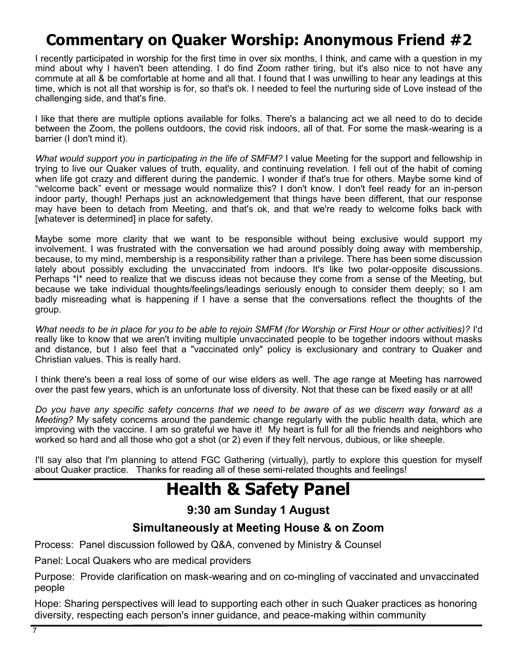## **Commentary on Quaker Worship: Anonymous Friend #2**

I recently participated in worship for the first time in over six months, I think, and came with a question in my mind about why I haven't been attending. I do find Zoom rather tiring, but it's also nice to not have any commute at all & be comfortable at home and all that. I found that I was unwilling to hear any leadings at this time, which is not all that worship is for, so that's ok. I needed to feel the nurturing side of Love instead of the challenging side, and that's fine.

I like that there are multiple options available for folks. There's a balancing act we all need to do to decide between the Zoom, the pollens outdoors, the covid risk indoors, all of that. For some the mask-wearing is a barrier (I don't mind it).

*What would support you in participating in the life of SMFM?* I value Meeting for the support and fellowship in trying to live our Quaker values of truth, equality, and continuing revelation. I fell out of the habit of coming when life got crazy and different during the pandemic. I wonder if that's true for others. Maybe some kind of "welcome back" event or message would normalize this? I don't know. I don't feel ready for an in-person indoor party, though! Perhaps just an acknowledgement that things have been different, that our response may have been to detach from Meeting, and that's ok, and that we're ready to welcome folks back with [whatever is determined] in place for safety.

Maybe some more clarity that we want to be responsible without being exclusive would support my involvement. I was frustrated with the conversation we had around possibly doing away with membership, because, to my mind, membership is a responsibility rather than a privilege. There has been some discussion lately about possibly excluding the unvaccinated from indoors. It's like two polar-opposite discussions. Perhaps \*I\* need to realize that we discuss ideas not because they come from a sense of the Meeting, but because we take individual thoughts/feelings/leadings seriously enough to consider them deeply; so I am badly misreading what is happening if I have a sense that the conversations reflect the thoughts of the group.

*What needs to be in place for you to be able to rejoin SMFM (for Worship or First Hour or other activities)?* I'd really like to know that we aren't inviting multiple unvaccinated people to be together indoors without masks and distance, but I also feel that a "vaccinated only" policy is exclusionary and contrary to Quaker and Christian values. This is really hard.

I think there's been a real loss of some of our wise elders as well. The age range at Meeting has narrowed over the past few years, which is an unfortunate loss of diversity. Not that these can be fixed easily or at all!

*Do you have any specific safety concerns that we need to be aware of as we discern way forward as a Meeting?* My safety concerns around the pandemic change regularly with the public health data, which are improving with the vaccine. I am so grateful we have it! My heart is full for all the friends and neighbors who worked so hard and all those who got a shot (or 2) even if they felt nervous, dubious, or like sheeple.

I'll say also that I'm planning to attend FGC Gathering (virtually), partly to explore this question for myself about Quaker practice. Thanks for reading all of these semi-related thoughts and feelings!

# **Health & Safety Panel**

### **9:30 am Sunday 1 August**

### **Simultaneously at Meeting House & on Zoom**

Process: Panel discussion followed by Q&A, convened by Ministry & Counsel

Panel: Local Quakers who are medical providers

Purpose: Provide clarification on mask-wearing and on co-mingling of vaccinated and unvaccinated people

Hope: Sharing perspectives will lead to supporting each other in such Quaker practices as honoring diversity, respecting each person's inner guidance, and peace-making within community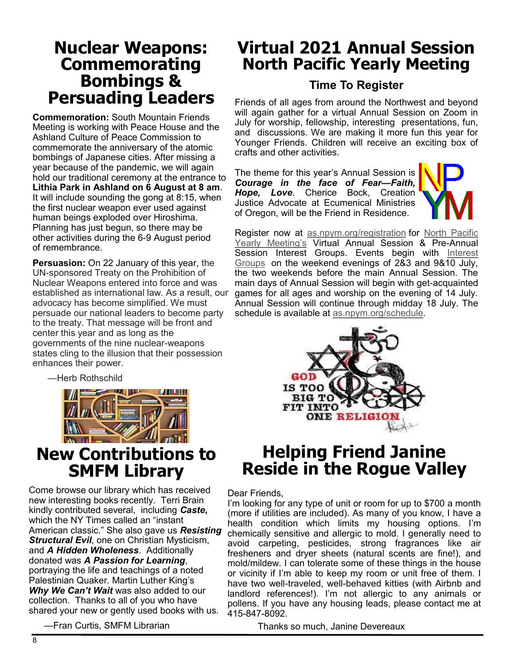## **Nuclear Weapons: Commemorating Bombings & Persuading Leaders**

**Commemoration:** South Mountain Friends Meeting is working with Peace House and the Ashland Culture of Peace Commission to commemorate the anniversary of the atomic bombings of Japanese cities. After missing a year because of the pandemic, we will again hold our traditional ceremony at the entrance to **Lithia Park in Ashland on 6 August at 8 am**. It will include sounding the gong at 8:15, when the first nuclear weapon ever used against human beings exploded over Hiroshima. Planning has just begun, so there may be other activities during the 6-9 August period of remembrance.

**Persuasion:** On 22 January of this year, the UN-sponsored Treaty on the Prohibition of Nuclear Weapons entered into force and was established as international law. As a result, our advocacy has become simplified. We must persuade our national leaders to become party to the treaty. That message will be front and center this year and as long as the governments of the nine nuclear-weapons states cling to the illusion that their possession enhances their power.

—Herb Rothschild



## **New Contributions to SMFM Library**

Come browse our library which has received new interesting books recently. Terri Brain kindly contributed several, including *Caste***,** which the NY Times called an "instant American classic." She also gave us *Resisting Structural Evil*, one on Christian Mysticism, and *A Hidden Wholeness*. Additionally donated was *A Passion for Learning*, portraying the life and teachings of a noted Palestinian Quaker. Martin Luther King's *Why We Can't Wait* was also added to our collection. Thanks to all of you who have shared your new or gently used books with us.

—Fran Curtis, SMFM Librarian

## **Virtual 2021 Annual Session North Pacific Yearly Meeting**

### **Time To Register**

Friends of all ages from around the Northwest and beyond will again gather for a virtual Annual Session on Zoom in July for worship, fellowship, interesting presentations, fun, and discussions. We are making it more fun this year for Younger Friends. Children will receive an exciting box of crafts and other activities.

The theme for this year's Annual Session is *Courage in the face of Fear—Faith, Hope, Love*. Cherice Bock, Creation Justice Advocate at Ecumenical Ministries of Oregon, will be the Friend in Residence.



Register now at [as.npym.org/registration](https://as.npym.org/registration) for [North Pacific](https://npym.org/)  [Yearly Meeting](https://npym.org/)'s Virtual Annual Session & Pre-Annual Session [Interest](https://as.npym.org/interest-groups) Groups. Events begin with Interest [Groups](https://as.npym.org/interest-groups) on the weekend evenings of 2&3 and 9&10 July, the two weekends before the main Annual Session. The main days of Annual Session will begin with get-acquainted games for all ages and worship on the evening of 14 July. Annual Session will continue through midday 18 July. The schedule is available at [as.npym.org/schedule.](https://as.npym.org/schedule)



## **Helping Friend Janine Reside in the Rogue Valley**

#### Dear Friends,

I'm looking for any type of unit or room for up to \$700 a month (more if utilities are included). As many of you know, I have a health condition which limits my housing options. I'm chemically sensitive and allergic to mold. I generally need to avoid carpeting, pesticides, strong fragrances like air fresheners and dryer sheets (natural scents are fine!), and mold/mildew. I can tolerate some of these things in the house or vicinity if I'm able to keep my room or unit free of them. I have two well-traveled, well-behaved kitties (with Airbnb and landlord references!). I'm not allergic to any animals or pollens. If you have any housing leads, please contact me at 415-847-8092.

Thanks so much, Janine Devereaux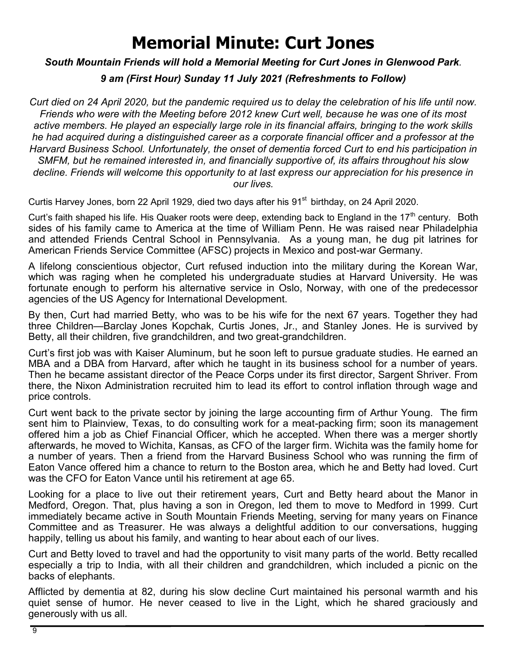# **Memorial Minute: Curt Jones**

### *South Mountain Friends will hold a Memorial Meeting for Curt Jones in Glenwood Park. 9 am (First Hour) Sunday 11 July 2021 (Refreshments to Follow)*

*Curt died on 24 April 2020, but the pandemic required us to delay the celebration of his life until now. Friends who were with the Meeting before 2012 knew Curt well, because he was one of its most active members. He played an especially large role in its financial affairs, bringing to the work skills he had acquired during a distinguished career as a corporate financial officer and a professor at the Harvard Business School. Unfortunately, the onset of dementia forced Curt to end his participation in SMFM, but he remained interested in, and financially supportive of, its affairs throughout his slow decline. Friends will welcome this opportunity to at last express our appreciation for his presence in our lives.*

Curtis Harvey Jones, born 22 April 1929, died two days after his 91<sup>st</sup> birthday, on 24 April 2020.

Curt's faith shaped his life. His Quaker roots were deep, extending back to England in the 17<sup>th</sup> century. Both sides of his family came to America at the time of William Penn. He was raised near Philadelphia and attended Friends Central School in Pennsylvania. As a young man, he dug pit latrines for American Friends Service Committee (AFSC) projects in Mexico and post-war Germany.

A lifelong conscientious objector, Curt refused induction into the military during the Korean War, which was raging when he completed his undergraduate studies at Harvard University. He was fortunate enough to perform his alternative service in Oslo, Norway, with one of the predecessor agencies of the US Agency for International Development.

By then, Curt had married Betty, who was to be his wife for the next 67 years. Together they had three Children—Barclay Jones Kopchak, Curtis Jones, Jr., and Stanley Jones. He is survived by Betty, all their children, five grandchildren, and two great-grandchildren.

Curt's first job was with Kaiser Aluminum, but he soon left to pursue graduate studies. He earned an MBA and a DBA from Harvard, after which he taught in its business school for a number of years. Then he became assistant director of the Peace Corps under its first director, Sargent Shriver. From there, the Nixon Administration recruited him to lead its effort to control inflation through wage and price controls.

Curt went back to the private sector by joining the large accounting firm of Arthur Young. The firm sent him to Plainview, Texas, to do consulting work for a meat-packing firm; soon its management offered him a job as Chief Financial Officer, which he accepted. When there was a merger shortly afterwards, he moved to Wichita, Kansas, as CFO of the larger firm. Wichita was the family home for a number of years. Then a friend from the Harvard Business School who was running the firm of Eaton Vance offered him a chance to return to the Boston area, which he and Betty had loved. Curt was the CFO for Eaton Vance until his retirement at age 65.

Looking for a place to live out their retirement years, Curt and Betty heard about the Manor in Medford, Oregon. That, plus having a son in Oregon, led them to move to Medford in 1999. Curt immediately became active in South Mountain Friends Meeting, serving for many years on Finance Committee and as Treasurer. He was always a delightful addition to our conversations, hugging happily, telling us about his family, and wanting to hear about each of our lives.

Curt and Betty loved to travel and had the opportunity to visit many parts of the world. Betty recalled especially a trip to India, with all their children and grandchildren, which included a picnic on the backs of elephants.

Afflicted by dementia at 82, during his slow decline Curt maintained his personal warmth and his quiet sense of humor. He never ceased to live in the Light, which he shared graciously and generously with us all.